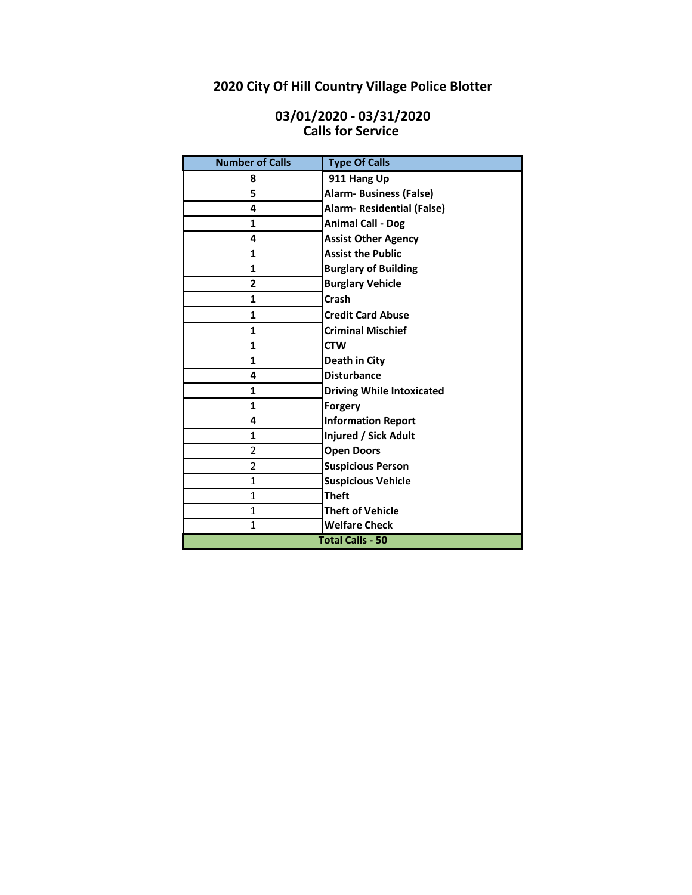# **2020 City Of Hill Country Village Police Blotter**

## **Calls for Service 03/01/2020 - 03/31/2020**

| <b>Number of Calls</b>  | <b>Type Of Calls</b>              |
|-------------------------|-----------------------------------|
| 8                       | 911 Hang Up                       |
| 5                       | <b>Alarm-Business (False)</b>     |
| 4                       | <b>Alarm- Residential (False)</b> |
| $\mathbf{1}$            | <b>Animal Call - Dog</b>          |
| 4                       | <b>Assist Other Agency</b>        |
| $\mathbf{1}$            | <b>Assist the Public</b>          |
| $\mathbf{1}$            | <b>Burglary of Building</b>       |
| $\overline{2}$          | <b>Burglary Vehicle</b>           |
| $\mathbf{1}$            | Crash                             |
| 1                       | <b>Credit Card Abuse</b>          |
| 1                       | <b>Criminal Mischief</b>          |
| $\mathbf{1}$            | <b>CTW</b>                        |
| 1                       | Death in City                     |
| 4                       | <b>Disturbance</b>                |
| 1                       | <b>Driving While Intoxicated</b>  |
| $\mathbf{1}$            | Forgery                           |
| 4                       | <b>Information Report</b>         |
| $\mathbf{1}$            | Injured / Sick Adult              |
| $\overline{2}$          | <b>Open Doors</b>                 |
| $\overline{2}$          | <b>Suspicious Person</b>          |
| 1                       | <b>Suspicious Vehicle</b>         |
| 1                       | <b>Theft</b>                      |
| 1                       | <b>Theft of Vehicle</b>           |
| $\mathbf{1}$            | <b>Welfare Check</b>              |
| <b>Total Calls - 50</b> |                                   |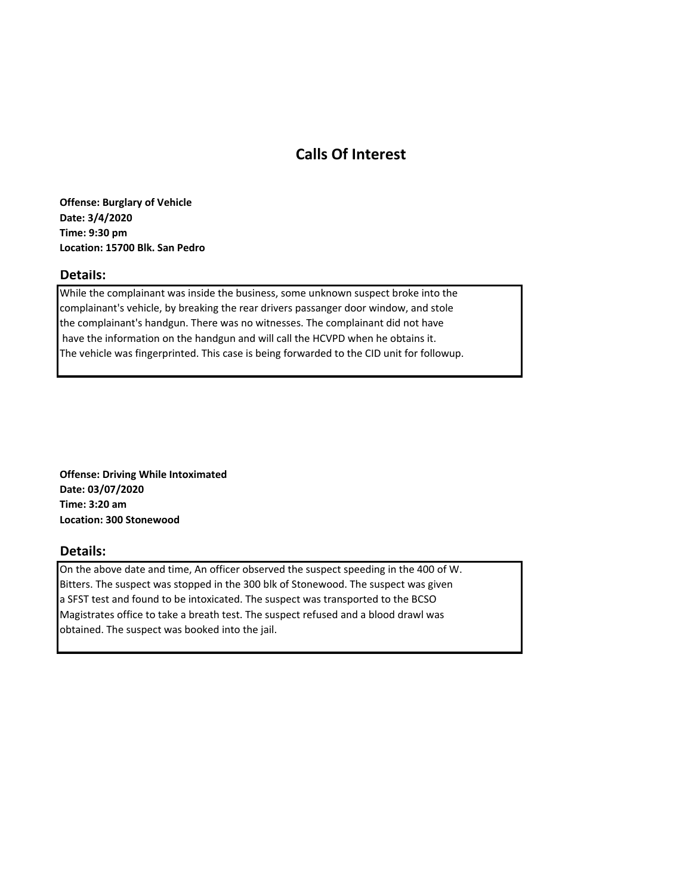## **Calls Of Interest**

**Offense: Burglary of Vehicle Date: 3/4/2020 Time: 9:30 pm Location: 15700 Blk. San Pedro**

## **Details:**

While the complainant was inside the business, some unknown suspect broke into the complainant's vehicle, by breaking the rear drivers passanger door window, and stole the complainant's handgun. There was no witnesses. The complainant did not have have the information on the handgun and will call the HCVPD when he obtains it. The vehicle was fingerprinted. This case is being forwarded to the CID unit for followup.

**Offense: Driving While Intoximated Date: 03/07/2020 Time: 3:20 am Location: 300 Stonewood**

#### **Details:**

On the above date and time, An officer observed the suspect speeding in the 400 of W. Bitters. The suspect was stopped in the 300 blk of Stonewood. The suspect was given a SFST test and found to be intoxicated. The suspect was transported to the BCSO Magistrates office to take a breath test. The suspect refused and a blood drawl was obtained. The suspect was booked into the jail.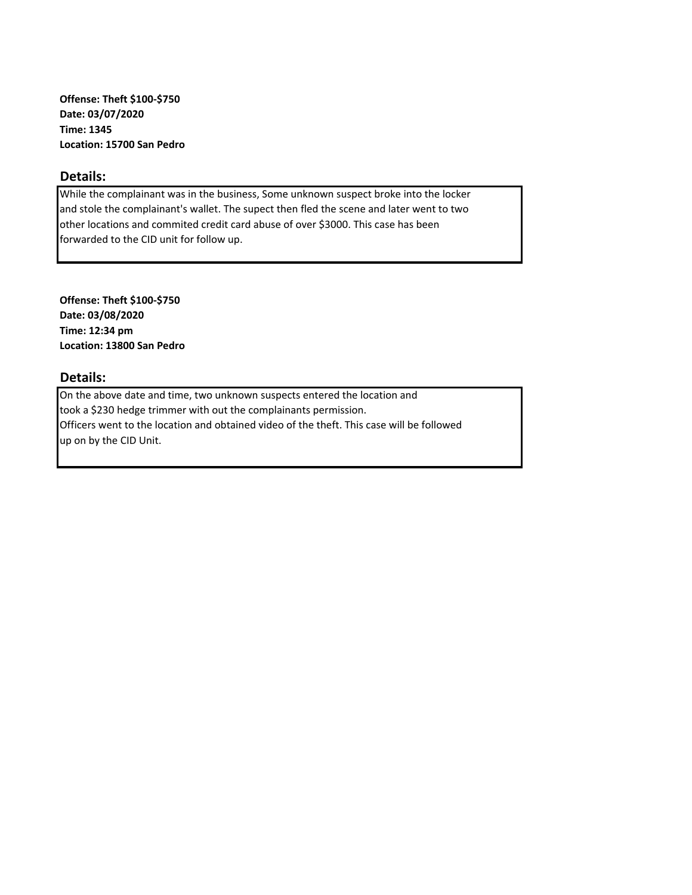**Offense: Theft \$100-\$750 Date: 03/07/2020 Time: 1345 Location: 15700 San Pedro**

## **Details:**

While the complainant was in the business, Some unknown suspect broke into the locker and stole the complainant's wallet. The supect then fled the scene and later went to two other locations and commited credit card abuse of over \$3000. This case has been forwarded to the CID unit for follow up.

**Offense: Theft \$100-\$750 Date: 03/08/2020 Time: 12:34 pm Location: 13800 San Pedro**

### **Details:**

On the above date and time, two unknown suspects entered the location and took a \$230 hedge trimmer with out the complainants permission. Officers went to the location and obtained video of the theft. This case will be followed up on by the CID Unit.